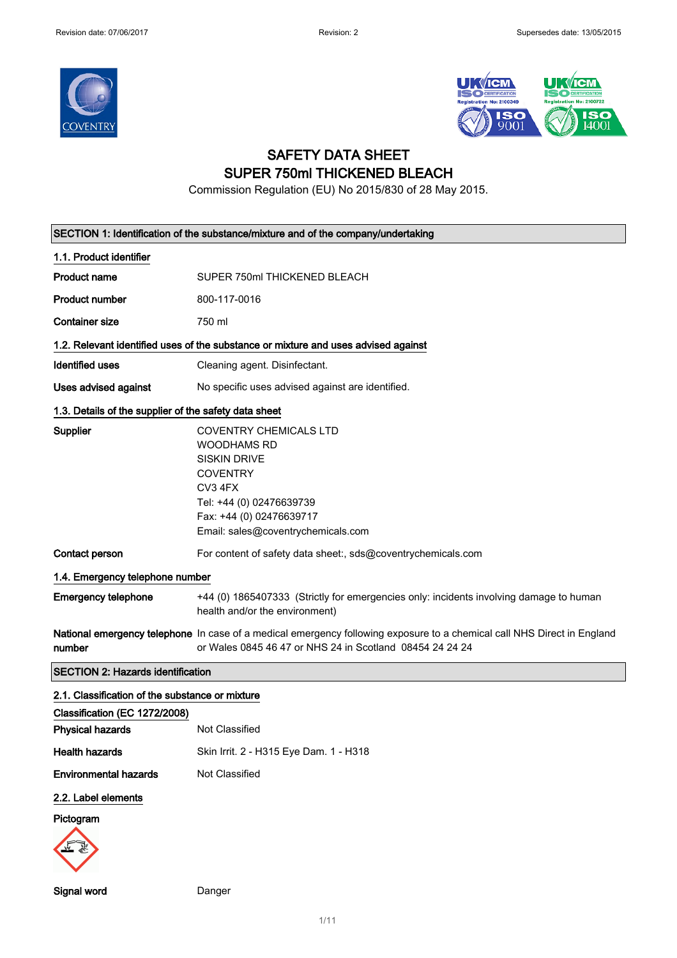



# SAFETY DATA SHEET SUPER 750ml THICKENED BLEACH

Commission Regulation (EU) No 2015/830 of 28 May 2015.

|                                                          | SECTION 1: Identification of the substance/mixture and of the company/undertaking                                                                                                                      |
|----------------------------------------------------------|--------------------------------------------------------------------------------------------------------------------------------------------------------------------------------------------------------|
| 1.1. Product identifier                                  |                                                                                                                                                                                                        |
| <b>Product name</b>                                      | SUPER 750ml THICKENED BLEACH                                                                                                                                                                           |
| <b>Product number</b>                                    | 800-117-0016                                                                                                                                                                                           |
| <b>Container size</b>                                    | 750 ml                                                                                                                                                                                                 |
|                                                          | 1.2. Relevant identified uses of the substance or mixture and uses advised against                                                                                                                     |
| <b>Identified uses</b>                                   | Cleaning agent. Disinfectant.                                                                                                                                                                          |
| Uses advised against                                     | No specific uses advised against are identified.                                                                                                                                                       |
| 1.3. Details of the supplier of the safety data sheet    |                                                                                                                                                                                                        |
| <b>Supplier</b>                                          | <b>COVENTRY CHEMICALS LTD</b><br><b>WOODHAMS RD</b><br><b>SISKIN DRIVE</b><br><b>COVENTRY</b><br>CV3 4FX<br>Tel: +44 (0) 02476639739<br>Fax: +44 (0) 02476639717<br>Email: sales@coventrychemicals.com |
| Contact person                                           | For content of safety data sheet:, sds@coventrychemicals.com                                                                                                                                           |
| 1.4. Emergency telephone number                          |                                                                                                                                                                                                        |
| <b>Emergency telephone</b>                               | +44 (0) 1865407333 (Strictly for emergencies only: incidents involving damage to human<br>health and/or the environment)                                                                               |
| number                                                   | National emergency telephone In case of a medical emergency following exposure to a chemical call NHS Direct in England<br>or Wales 0845 46 47 or NHS 24 in Scotland 08454 24 24 24                    |
| <b>SECTION 2: Hazards identification</b>                 |                                                                                                                                                                                                        |
| 2.1. Classification of the substance or mixture          |                                                                                                                                                                                                        |
| Classification (EC 1272/2008)<br><b>Physical hazards</b> | Not Classified                                                                                                                                                                                         |
| <b>Health hazards</b>                                    | Skin Irrit. 2 - H315 Eye Dam. 1 - H318                                                                                                                                                                 |
| <b>Environmental hazards</b>                             | Not Classified                                                                                                                                                                                         |
| 2.2. Label elements<br>Pictogram                         |                                                                                                                                                                                                        |

Signal word Danger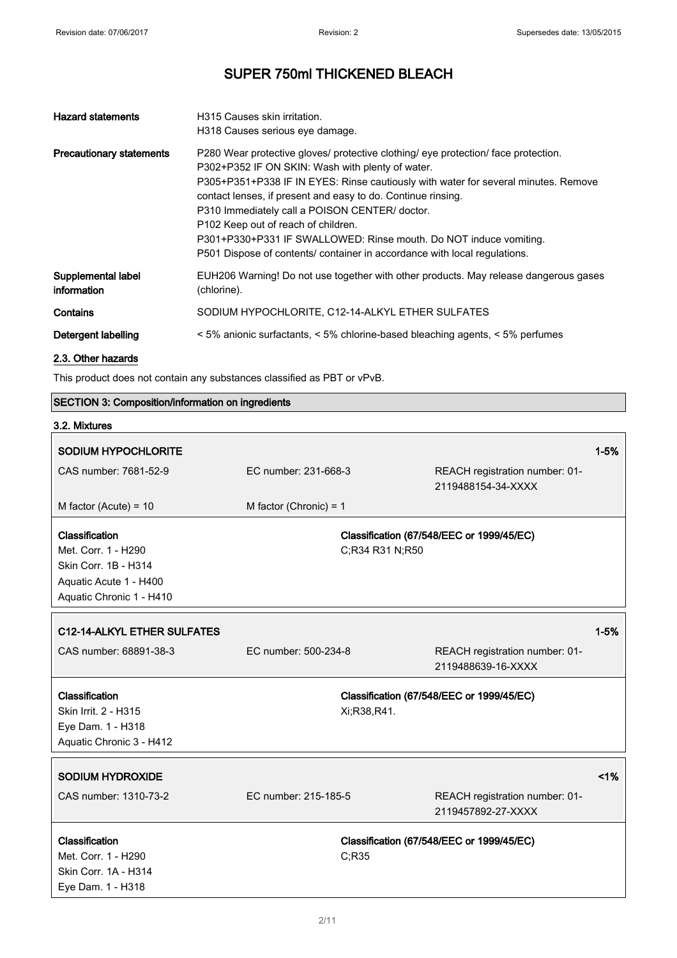| <b>Hazard statements</b>          | H315 Causes skin irritation.                                                                                                                                                                                                                                                                                                                                                                                                                                                                                                                                               |
|-----------------------------------|----------------------------------------------------------------------------------------------------------------------------------------------------------------------------------------------------------------------------------------------------------------------------------------------------------------------------------------------------------------------------------------------------------------------------------------------------------------------------------------------------------------------------------------------------------------------------|
| <b>Precautionary statements</b>   | H318 Causes serious eye damage.<br>P280 Wear protective gloves/ protective clothing/ eye protection/ face protection.<br>P302+P352 IF ON SKIN: Wash with plenty of water.<br>P305+P351+P338 IF IN EYES: Rinse cautiously with water for several minutes. Remove<br>contact lenses, if present and easy to do. Continue rinsing.<br>P310 Immediately call a POISON CENTER/ doctor.<br>P102 Keep out of reach of children.<br>P301+P330+P331 IF SWALLOWED: Rinse mouth. Do NOT induce vomiting.<br>P501 Dispose of contents/ container in accordance with local regulations. |
| Supplemental label<br>information | EUH206 Warning! Do not use together with other products. May release dangerous gases<br>(chlorine).                                                                                                                                                                                                                                                                                                                                                                                                                                                                        |
| Contains                          | SODIUM HYPOCHLORITE, C12-14-ALKYL ETHER SULFATES                                                                                                                                                                                                                                                                                                                                                                                                                                                                                                                           |
| Detergent labelling               | < 5% anionic surfactants, < 5% chlorine-based bleaching agents, < 5% perfumes                                                                                                                                                                                                                                                                                                                                                                                                                                                                                              |
| 2.3. Other hazards                |                                                                                                                                                                                                                                                                                                                                                                                                                                                                                                                                                                            |

This product does not contain any substances classified as PBT or vPvB.

## SECTION 3: Composition/information on ingredients

| 3.2. Mixtures               |                          |                                                      |          |
|-----------------------------|--------------------------|------------------------------------------------------|----------|
| <b>SODIUM HYPOCHLORITE</b>  |                          |                                                      | $1 - 5%$ |
| CAS number: 7681-52-9       | EC number: 231-668-3     | REACH registration number: 01-<br>2119488154-34-XXXX |          |
| M factor (Acute) = $10$     | M factor (Chronic) = $1$ |                                                      |          |
| Classification              |                          | Classification (67/548/EEC or 1999/45/EC)            |          |
| Met. Corr. 1 - H290         | C;R34 R31 N;R50          |                                                      |          |
| Skin Corr. 1B - H314        |                          |                                                      |          |
| Aquatic Acute 1 - H400      |                          |                                                      |          |
| Aquatic Chronic 1 - H410    |                          |                                                      |          |
| C12-14-ALKYL ETHER SULFATES |                          |                                                      | $1 - 5%$ |
| CAS number: 68891-38-3      | EC number: 500-234-8     |                                                      |          |
|                             |                          | REACH registration number: 01-<br>2119488639-16-XXXX |          |
| Classification              |                          | Classification (67/548/EEC or 1999/45/EC)            |          |
| Skin Irrit. 2 - H315        | Xi:R38,R41.              |                                                      |          |
| Eye Dam. 1 - H318           |                          |                                                      |          |
| Aquatic Chronic 3 - H412    |                          |                                                      |          |
| <b>SODIUM HYDROXIDE</b>     |                          |                                                      | $< 1\%$  |
| CAS number: 1310-73-2       | EC number: 215-185-5     | REACH registration number: 01-                       |          |
|                             |                          | 2119457892-27-XXXX                                   |          |
| Classification              |                          | Classification (67/548/EEC or 1999/45/EC)            |          |
| Met. Corr. 1 - H290         | C;R35                    |                                                      |          |
| Skin Corr. 1A - H314        |                          |                                                      |          |
| Eye Dam. 1 - H318           |                          |                                                      |          |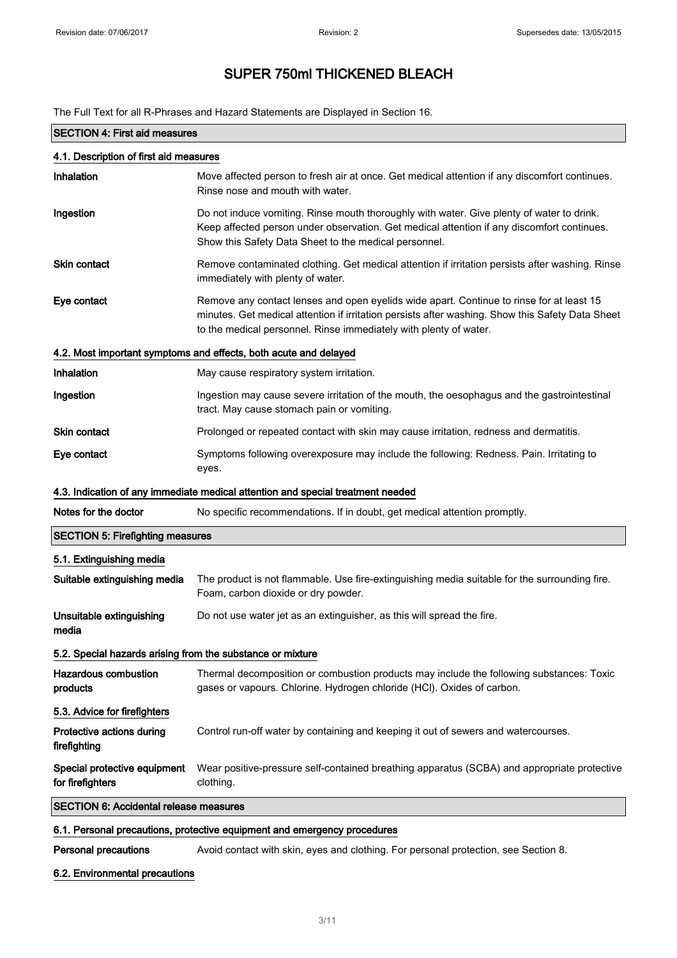The Full Text for all R-Phrases and Hazard Statements are Displayed in Section 16.

|                                                                          | one for all in Figure and Figure Utatomonto are Displayed in Occi                                                                                                                                                                                                 |  |
|--------------------------------------------------------------------------|-------------------------------------------------------------------------------------------------------------------------------------------------------------------------------------------------------------------------------------------------------------------|--|
| <b>SECTION 4: First aid measures</b>                                     |                                                                                                                                                                                                                                                                   |  |
| 4.1. Description of first aid measures                                   |                                                                                                                                                                                                                                                                   |  |
| Inhalation                                                               | Move affected person to fresh air at once. Get medical attention if any discomfort continues.<br>Rinse nose and mouth with water.                                                                                                                                 |  |
| Ingestion                                                                | Do not induce vomiting. Rinse mouth thoroughly with water. Give plenty of water to drink.<br>Keep affected person under observation. Get medical attention if any discomfort continues.<br>Show this Safety Data Sheet to the medical personnel.                  |  |
| Skin contact                                                             | Remove contaminated clothing. Get medical attention if irritation persists after washing. Rinse<br>immediately with plenty of water.                                                                                                                              |  |
| Eye contact                                                              | Remove any contact lenses and open eyelids wide apart. Continue to rinse for at least 15<br>minutes. Get medical attention if irritation persists after washing. Show this Safety Data Sheet<br>to the medical personnel. Rinse immediately with plenty of water. |  |
|                                                                          | 4.2. Most important symptoms and effects, both acute and delayed                                                                                                                                                                                                  |  |
| Inhalation                                                               | May cause respiratory system irritation.                                                                                                                                                                                                                          |  |
| Ingestion                                                                | Ingestion may cause severe irritation of the mouth, the oesophagus and the gastrointestinal<br>tract. May cause stomach pain or vomiting.                                                                                                                         |  |
| Skin contact                                                             | Prolonged or repeated contact with skin may cause irritation, redness and dermatitis.                                                                                                                                                                             |  |
| Eye contact                                                              | Symptoms following overexposure may include the following: Redness. Pain. Irritating to<br>eyes.                                                                                                                                                                  |  |
|                                                                          | 4.3. Indication of any immediate medical attention and special treatment needed                                                                                                                                                                                   |  |
| Notes for the doctor                                                     | No specific recommendations. If in doubt, get medical attention promptly.                                                                                                                                                                                         |  |
| <b>SECTION 5: Firefighting measures</b>                                  |                                                                                                                                                                                                                                                                   |  |
| 5.1. Extinguishing media                                                 |                                                                                                                                                                                                                                                                   |  |
| Suitable extinguishing media                                             | The product is not flammable. Use fire-extinguishing media suitable for the surrounding fire.<br>Foam, carbon dioxide or dry powder.                                                                                                                              |  |
| Unsuitable extinguishing<br>media                                        | Do not use water jet as an extinguisher, as this will spread the fire.                                                                                                                                                                                            |  |
| 5.2. Special hazards arising from the substance or mixture               |                                                                                                                                                                                                                                                                   |  |
| <b>Hazardous combustion</b><br>products                                  | Thermal decomposition or combustion products may include the following substances: Toxic<br>gases or vapours. Chlorine. Hydrogen chloride (HCl). Oxides of carbon.                                                                                                |  |
| 5.3. Advice for firefighters                                             |                                                                                                                                                                                                                                                                   |  |
| Protective actions during<br>firefighting                                | Control run-off water by containing and keeping it out of sewers and watercourses.                                                                                                                                                                                |  |
| Special protective equipment<br>for firefighters                         | Wear positive-pressure self-contained breathing apparatus (SCBA) and appropriate protective<br>clothing.                                                                                                                                                          |  |
| <b>SECTION 6: Accidental release measures</b>                            |                                                                                                                                                                                                                                                                   |  |
| 6.1. Personal precautions, protective equipment and emergency procedures |                                                                                                                                                                                                                                                                   |  |
| <b>Personal precautions</b>                                              | Avoid contact with skin, eyes and clothing. For personal protection, see Section 8.                                                                                                                                                                               |  |

### 6.2. Environmental precautions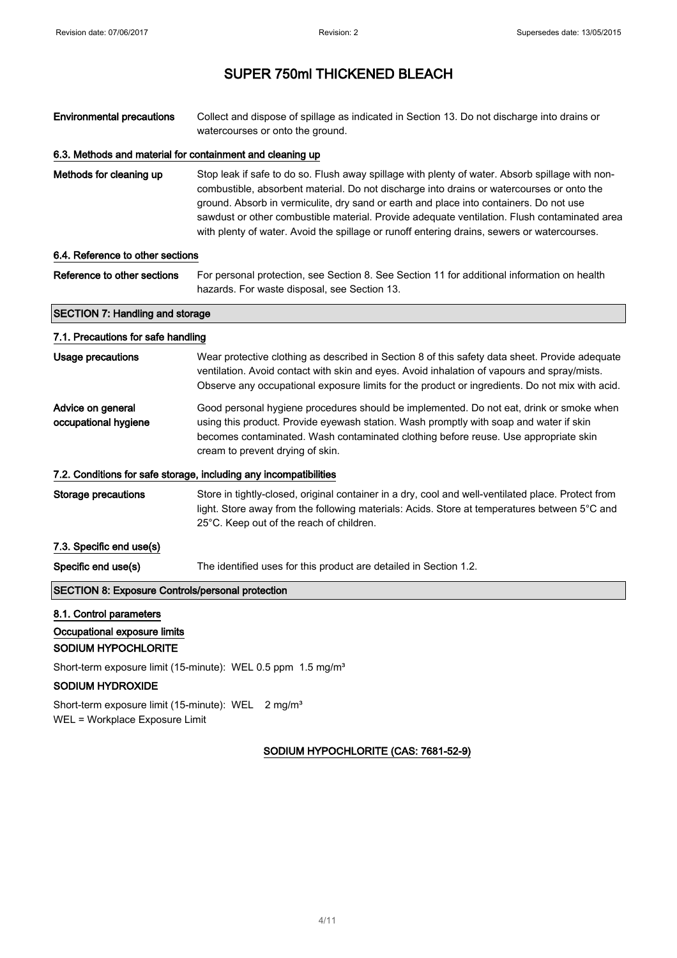Environmental precautions Collect and dispose of spillage as indicated in Section 13. Do not discharge into drains or watercourses or onto the ground.

#### 6.3. Methods and material for containment and cleaning up

Methods for cleaning up Stop leak if safe to do so. Flush away spillage with plenty of water. Absorb spillage with noncombustible, absorbent material. Do not discharge into drains or watercourses or onto the ground. Absorb in vermiculite, dry sand or earth and place into containers. Do not use sawdust or other combustible material. Provide adequate ventilation. Flush contaminated area with plenty of water. Avoid the spillage or runoff entering drains, sewers or watercourses.

#### 6.4. Reference to other sections

Reference to other sections For personal protection, see Section 8. See Section 11 for additional information on health hazards. For waste disposal, see Section 13.

## SECTION 7: Handling and storage 7.1. Precautions for safe handling

| Usage precautions                                       | Wear protective clothing as described in Section 8 of this safety data sheet. Provide adequate<br>ventilation. Avoid contact with skin and eyes. Avoid inhalation of vapours and spray/mists.<br>Observe any occupational exposure limits for the product or ingredients. Do not mix with acid.              |
|---------------------------------------------------------|--------------------------------------------------------------------------------------------------------------------------------------------------------------------------------------------------------------------------------------------------------------------------------------------------------------|
| Advice on general<br>occupational hygiene               | Good personal hygiene procedures should be implemented. Do not eat, drink or smoke when<br>using this product. Provide eyewash station. Wash promptly with soap and water if skin<br>becomes contaminated. Wash contaminated clothing before reuse. Use appropriate skin<br>cream to prevent drying of skin. |
|                                                         | 7.2. Conditions for safe storage, including any incompatibilities                                                                                                                                                                                                                                            |
| Storage precautions                                     | Store in tightly-closed, original container in a dry, cool and well-ventilated place. Protect from<br>light. Store away from the following materials: Acids. Store at temperatures between 5°C and<br>25°C. Keep out of the reach of children.                                                               |
| 7.3. Specific end use(s)                                |                                                                                                                                                                                                                                                                                                              |
| Specific end use(s)                                     | The identified uses for this product are detailed in Section 1.2.                                                                                                                                                                                                                                            |
| <b>SECTION 8: Exposure Controls/personal protection</b> |                                                                                                                                                                                                                                                                                                              |

### 8.1. Control parameters

#### Occupational exposure limits

#### SODIUM HYPOCHLORITE

Short-term exposure limit (15-minute): WEL 0.5 ppm 1.5 mg/m<sup>3</sup>

#### SODIUM HYDROXIDE

Short-term exposure limit (15-minute): WEL 2 mg/m<sup>3</sup> WEL = Workplace Exposure Limit

## SODIUM HYPOCHLORITE (CAS: 7681-52-9)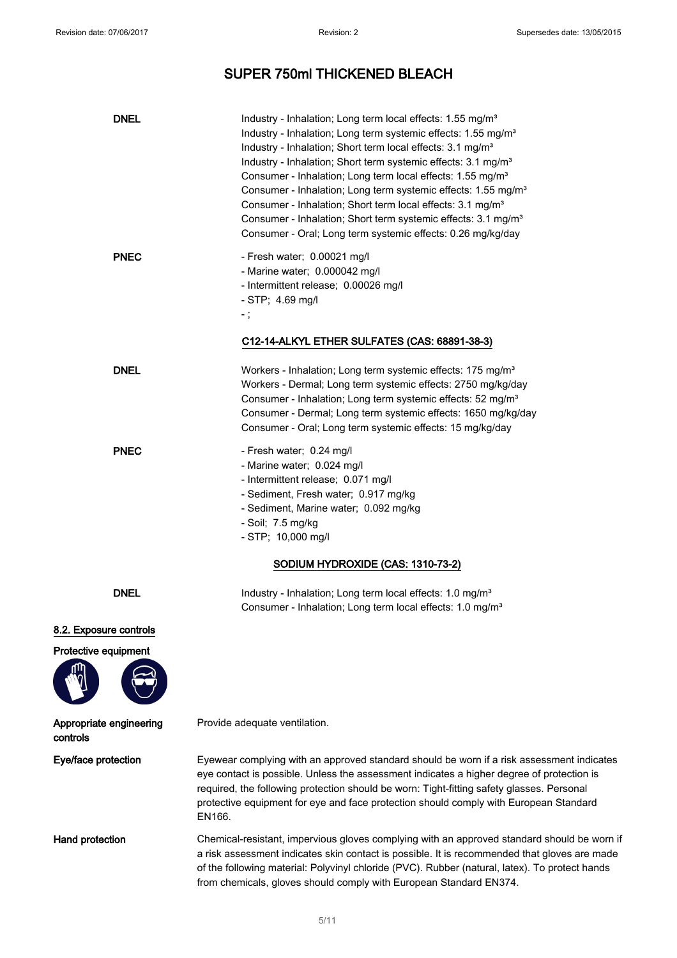# SUPER 750ml THICKENED BLEACH

| <b>DNEL</b>                                    | Industry - Inhalation; Long term local effects: 1.55 mg/m <sup>3</sup><br>Industry - Inhalation; Long term systemic effects: 1.55 mg/m <sup>3</sup><br>Industry - Inhalation; Short term local effects: 3.1 mg/m <sup>3</sup><br>Industry - Inhalation; Short term systemic effects: 3.1 mg/m <sup>3</sup><br>Consumer - Inhalation; Long term local effects: 1.55 mg/m <sup>3</sup><br>Consumer - Inhalation; Long term systemic effects: 1.55 mg/m <sup>3</sup><br>Consumer - Inhalation; Short term local effects: 3.1 mg/m <sup>3</sup><br>Consumer - Inhalation; Short term systemic effects: 3.1 mg/m <sup>3</sup><br>Consumer - Oral; Long term systemic effects: 0.26 mg/kg/day |
|------------------------------------------------|-----------------------------------------------------------------------------------------------------------------------------------------------------------------------------------------------------------------------------------------------------------------------------------------------------------------------------------------------------------------------------------------------------------------------------------------------------------------------------------------------------------------------------------------------------------------------------------------------------------------------------------------------------------------------------------------|
| <b>PNEC</b>                                    | - Fresh water; 0.00021 mg/l<br>- Marine water; 0.000042 mg/l<br>- Intermittent release; 0.00026 mg/l<br>- STP; 4.69 mg/l<br>- ;<br>C12-14-ALKYL ETHER SULFATES (CAS: 68891-38-3)                                                                                                                                                                                                                                                                                                                                                                                                                                                                                                        |
| <b>DNEL</b>                                    | Workers - Inhalation; Long term systemic effects: 175 mg/m <sup>3</sup><br>Workers - Dermal; Long term systemic effects: 2750 mg/kg/day<br>Consumer - Inhalation; Long term systemic effects: 52 mg/m <sup>3</sup><br>Consumer - Dermal; Long term systemic effects: 1650 mg/kg/day<br>Consumer - Oral; Long term systemic effects: 15 mg/kg/day                                                                                                                                                                                                                                                                                                                                        |
| <b>PNEC</b>                                    | - Fresh water; 0.24 mg/l<br>- Marine water; 0.024 mg/l<br>- Intermittent release; 0.071 mg/l<br>- Sediment, Fresh water; 0.917 mg/kg<br>- Sediment, Marine water; 0.092 mg/kg<br>- Soil; 7.5 mg/kg<br>$-$ STP; 10,000 mg/l                                                                                                                                                                                                                                                                                                                                                                                                                                                              |
|                                                | SODIUM HYDROXIDE (CAS: 1310-73-2)                                                                                                                                                                                                                                                                                                                                                                                                                                                                                                                                                                                                                                                       |
| <b>DNEL</b>                                    | Industry - Inhalation; Long term local effects: 1.0 mg/m <sup>3</sup><br>Consumer - Inhalation; Long term local effects: 1.0 mg/m <sup>3</sup>                                                                                                                                                                                                                                                                                                                                                                                                                                                                                                                                          |
| 8.2. Exposure controls<br>Protective equipment |                                                                                                                                                                                                                                                                                                                                                                                                                                                                                                                                                                                                                                                                                         |
| Appropriate engineering<br>controls            | Provide adequate ventilation.                                                                                                                                                                                                                                                                                                                                                                                                                                                                                                                                                                                                                                                           |
| Eye/face protection                            | Eyewear complying with an approved standard should be worn if a risk assessment indicates<br>eye contact is possible. Unless the assessment indicates a higher degree of protection is<br>required, the following protection should be worn: Tight-fitting safety glasses. Personal<br>protective equipment for eye and face protection should comply with European Standard<br>EN166.                                                                                                                                                                                                                                                                                                  |
| Hand protection                                | Chemical-resistant, impervious gloves complying with an approved standard should be worn if<br>a risk assessment indicates skin contact is possible. It is recommended that gloves are made<br>of the following material: Polyvinyl chloride (PVC). Rubber (natural, latex). To protect hands<br>from chemicals, gloves should comply with European Standard EN374.                                                                                                                                                                                                                                                                                                                     |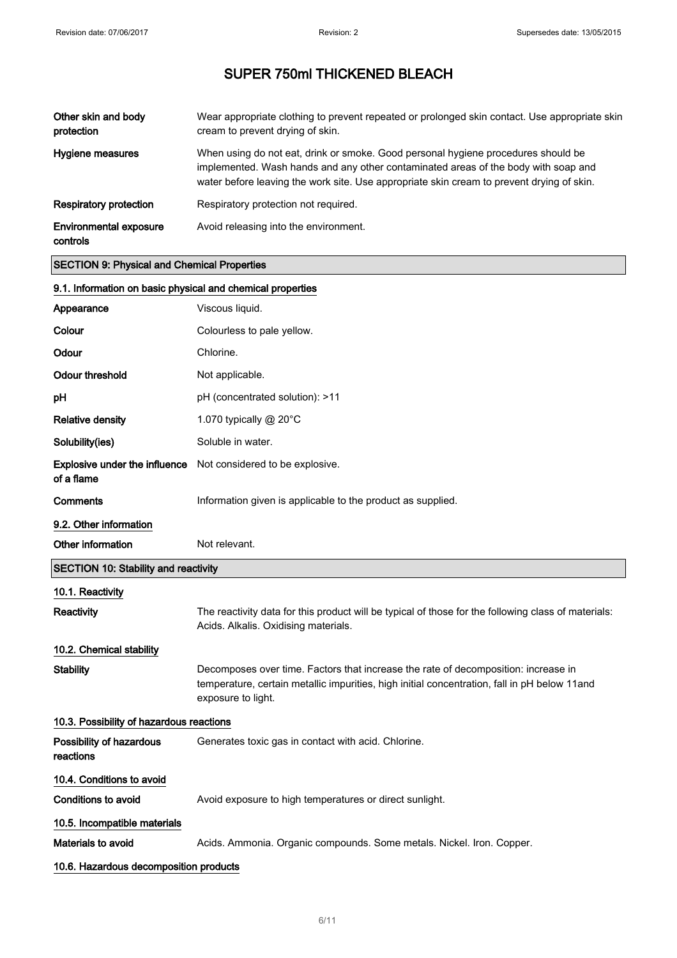| Other skin and body<br>protection         | Wear appropriate clothing to prevent repeated or prolonged skin contact. Use appropriate skin<br>cream to prevent drying of skin.                                                                                                                                    |
|-------------------------------------------|----------------------------------------------------------------------------------------------------------------------------------------------------------------------------------------------------------------------------------------------------------------------|
| Hygiene measures                          | When using do not eat, drink or smoke. Good personal hygiene procedures should be<br>implemented. Wash hands and any other contaminated areas of the body with soap and<br>water before leaving the work site. Use appropriate skin cream to prevent drying of skin. |
| <b>Respiratory protection</b>             | Respiratory protection not required.                                                                                                                                                                                                                                 |
| <b>Environmental exposure</b><br>controls | Avoid releasing into the environment.                                                                                                                                                                                                                                |

## SECTION 9: Physical and Chemical Properties

| 9.1. Information on basic physical and chemical properties |                                                                                                                                                                                                          |
|------------------------------------------------------------|----------------------------------------------------------------------------------------------------------------------------------------------------------------------------------------------------------|
| Appearance                                                 | Viscous liquid.                                                                                                                                                                                          |
| Colour                                                     | Colourless to pale yellow.                                                                                                                                                                               |
| Odour                                                      | Chlorine.                                                                                                                                                                                                |
| <b>Odour threshold</b>                                     | Not applicable.                                                                                                                                                                                          |
| рH                                                         | pH (concentrated solution): >11                                                                                                                                                                          |
| <b>Relative density</b>                                    | 1.070 typically $@$ 20 $°C$                                                                                                                                                                              |
| Solubility(ies)                                            | Soluble in water.                                                                                                                                                                                        |
| Explosive under the influence<br>of a flame                | Not considered to be explosive.                                                                                                                                                                          |
| <b>Comments</b>                                            | Information given is applicable to the product as supplied.                                                                                                                                              |
| 9.2. Other information                                     |                                                                                                                                                                                                          |
| Other information                                          | Not relevant.                                                                                                                                                                                            |
| <b>SECTION 10: Stability and reactivity</b>                |                                                                                                                                                                                                          |
| 10.1. Reactivity                                           |                                                                                                                                                                                                          |
| <b>Reactivity</b>                                          | The reactivity data for this product will be typical of those for the following class of materials:<br>Acids. Alkalis. Oxidising materials.                                                              |
| 10.2. Chemical stability                                   |                                                                                                                                                                                                          |
| Stability                                                  | Decomposes over time. Factors that increase the rate of decomposition: increase in<br>temperature, certain metallic impurities, high initial concentration, fall in pH below 11and<br>exposure to light. |
| 10.3. Possibility of hazardous reactions                   |                                                                                                                                                                                                          |
| Possibility of hazardous<br>reactions                      | Generates toxic gas in contact with acid. Chlorine.                                                                                                                                                      |
| 10.4. Conditions to avoid                                  |                                                                                                                                                                                                          |
| <b>Conditions to avoid</b>                                 | Avoid exposure to high temperatures or direct sunlight.                                                                                                                                                  |
| 10.5. Incompatible materials                               |                                                                                                                                                                                                          |
| <b>Materials to avoid</b>                                  | Acids. Ammonia. Organic compounds. Some metals. Nickel. Iron. Copper.                                                                                                                                    |
| 10.6. Hazardous decomposition products                     |                                                                                                                                                                                                          |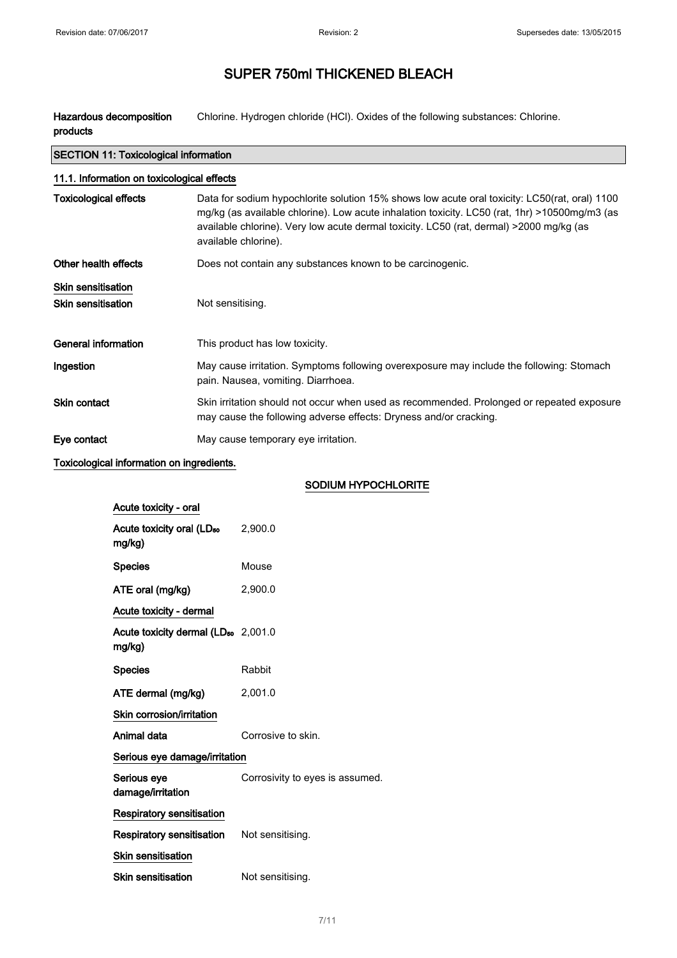Hazardous decomposition products Chlorine. Hydrogen chloride (HCl). Oxides of the following substances: Chlorine.

| <b>SECTION 11: Toxicological information</b>    |                                                                                                                                                                                                                                                                                                                   |  |  |
|-------------------------------------------------|-------------------------------------------------------------------------------------------------------------------------------------------------------------------------------------------------------------------------------------------------------------------------------------------------------------------|--|--|
|                                                 | 11.1. Information on toxicological effects                                                                                                                                                                                                                                                                        |  |  |
| Toxicological effects                           | Data for sodium hypochlorite solution 15% shows low acute oral toxicity: LC50(rat, oral) 1100<br>mg/kg (as available chlorine). Low acute inhalation toxicity. LC50 (rat, 1hr) >10500mg/m3 (as<br>available chlorine). Very low acute dermal toxicity. LC50 (rat, dermal) >2000 mg/kg (as<br>available chlorine). |  |  |
| Other health effects                            | Does not contain any substances known to be carcinogenic.                                                                                                                                                                                                                                                         |  |  |
| <b>Skin sensitisation</b><br>Skin sensitisation | Not sensitising.                                                                                                                                                                                                                                                                                                  |  |  |
| General information                             | This product has low toxicity.                                                                                                                                                                                                                                                                                    |  |  |
| Ingestion                                       | May cause irritation. Symptoms following overexposure may include the following: Stomach<br>pain. Nausea, vomiting. Diarrhoea.                                                                                                                                                                                    |  |  |
| <b>Skin contact</b>                             | Skin irritation should not occur when used as recommended. Prolonged or repeated exposure<br>may cause the following adverse effects: Dryness and/or cracking.                                                                                                                                                    |  |  |
| Eye contact                                     | May cause temporary eye irritation.                                                                                                                                                                                                                                                                               |  |  |

Toxicological information on ingredients.

## SODIUM HYPOCHLORITE

| Acute toxicity - oral                                     |                                 |
|-----------------------------------------------------------|---------------------------------|
| Acute toxicity oral (LD <sub>50</sub><br>mg/kg)           | 2,900.0                         |
| <b>Species</b>                                            | Mouse                           |
| ATE oral (mg/kg)                                          | 2,900.0                         |
| Acute toxicity - dermal                                   |                                 |
| Acute toxicity dermal (LD <sub>50</sub> 2,001.0<br>mg/kg) |                                 |
| <b>Species</b>                                            | Rabbit                          |
| ATE dermal (mg/kg)                                        | 2,001.0                         |
| Skin corrosion/irritation                                 |                                 |
| Animal data                                               | Corrosive to skin.              |
| Serious eye damage/irritation                             |                                 |
| Serious eye<br>damage/irritation                          | Corrosivity to eyes is assumed. |
| <b>Respiratory sensitisation</b>                          |                                 |
| Respiratory sensitisation                                 | Not sensitising.                |
| <b>Skin sensitisation</b>                                 |                                 |
| Skin sensitisation                                        | Not sensitising.                |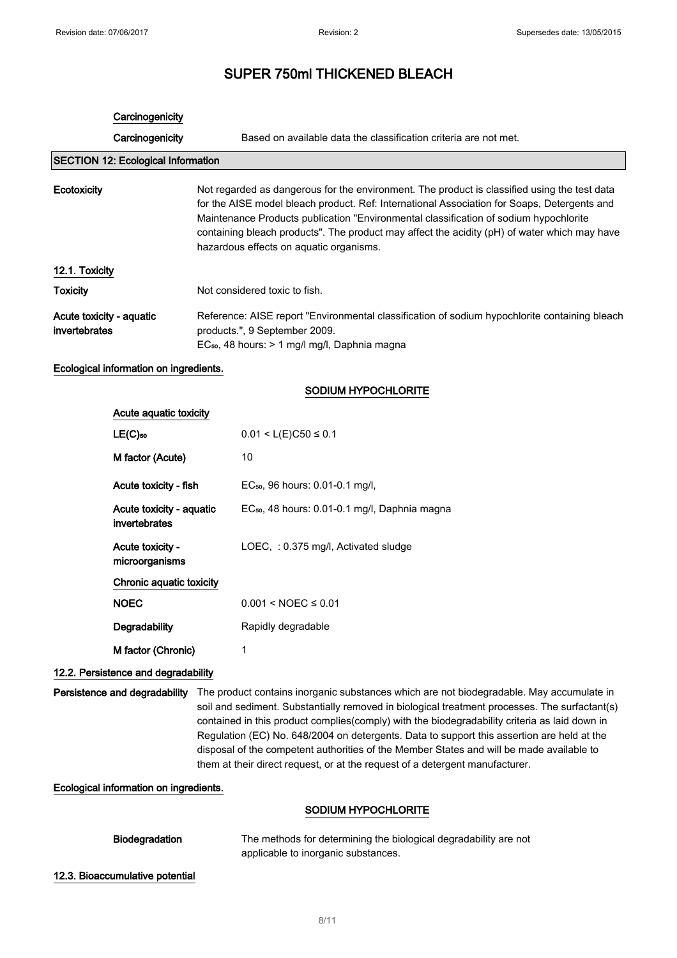### **Carcinogenicity**

Carcinogenicity Based on available data the classification criteria are not met.

## SECTION 12: Ecological Information

| Ecotoxicity     | Not regarded as dangerous for the environment. The product is classified using the test data<br>for the AISE model bleach product. Ref: International Association for Soaps, Detergents and<br>Maintenance Products publication "Environmental classification of sodium hypochlorite"<br>containing bleach products". The product may affect the acidity (pH) of water which may have<br>hazardous effects on aquatic organisms. |
|-----------------|----------------------------------------------------------------------------------------------------------------------------------------------------------------------------------------------------------------------------------------------------------------------------------------------------------------------------------------------------------------------------------------------------------------------------------|
| 12.1. Toxicity  |                                                                                                                                                                                                                                                                                                                                                                                                                                  |
| <b>Toxicity</b> | Not considered toxic to fish.                                                                                                                                                                                                                                                                                                                                                                                                    |

Acute toxicity - aquatic invertebrates Reference: AISE report "Environmental classification of sodium hypochlorite containing bleach products.", 9 September 2009. EC₅₀, 48 hours: > 1 mg/l mg/l, Daphnia magna

#### Ecological information on ingredients.

#### SODIUM HYPOCHLORITE

| Acute aquatic toxicity                    |                                                           |
|-------------------------------------------|-----------------------------------------------------------|
| $LE(C)$ <sub>50</sub>                     | $0.01 < L(E)C50 \le 0.1$                                  |
| M factor (Acute)                          | 10                                                        |
| Acute toxicity - fish                     | EC <sub>50</sub> , 96 hours: 0.01-0.1 mg/l,               |
| Acute toxicity - aquatic<br>invertebrates | EC <sub>50</sub> , 48 hours: 0.01-0.1 mg/l, Daphnia magna |
| Acute toxicity -<br>microorganisms        | LOEC, $: 0.375$ mg/l, Activated sludge                    |
| Chronic aquatic toxicity                  |                                                           |
| <b>NOEC</b>                               | $0.001 < NOEC \leq 0.01$                                  |
| Degradability                             | Rapidly degradable                                        |
| M factor (Chronic)                        | 1                                                         |

#### 12.2. Persistence and degradability

Persistence and degradability The product contains inorganic substances which are not biodegradable. May accumulate in soil and sediment. Substantially removed in biological treatment processes. The surfactant(s) contained in this product complies(comply) with the biodegradability criteria as laid down in Regulation (EC) No. 648/2004 on detergents. Data to support this assertion are held at the disposal of the competent authorities of the Member States and will be made available to them at their direct request, or at the request of a detergent manufacturer.

Ecological information on ingredients.

#### SODIUM HYPOCHLORITE

| <b>Biodegradation</b> | The methods for determining the biological degradability are not |  |
|-----------------------|------------------------------------------------------------------|--|
|                       | applicable to inorganic substances.                              |  |

12.3. Bioaccumulative potential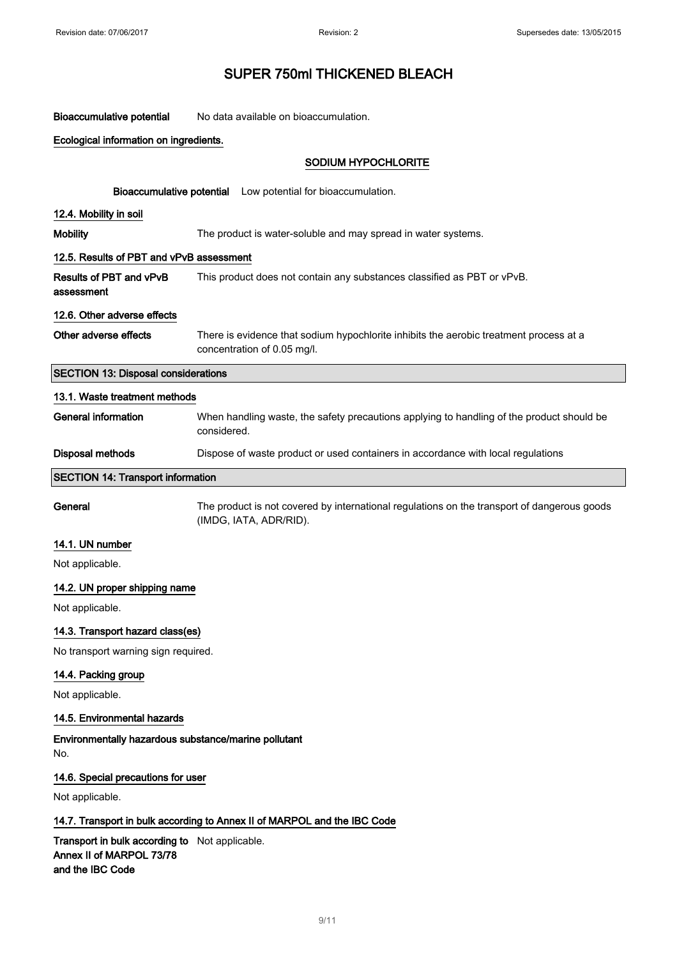Bioaccumulative potential No data available on bioaccumulation.

|  | Ecological information on ingredients. |  |  |
|--|----------------------------------------|--|--|
|--|----------------------------------------|--|--|

## SODIUM HYPOCHLORITE

|                                                                          | Bioaccumulative potential Low potential for bioaccumulation.                                                          |  |
|--------------------------------------------------------------------------|-----------------------------------------------------------------------------------------------------------------------|--|
| 12.4. Mobility in soil                                                   |                                                                                                                       |  |
| <b>Mobility</b>                                                          | The product is water-soluble and may spread in water systems.                                                         |  |
| 12.5. Results of PBT and vPvB assessment                                 |                                                                                                                       |  |
| Results of PBT and vPvB<br>assessment                                    | This product does not contain any substances classified as PBT or vPvB.                                               |  |
| 12.6. Other adverse effects                                              |                                                                                                                       |  |
| Other adverse effects                                                    | There is evidence that sodium hypochlorite inhibits the aerobic treatment process at a<br>concentration of 0.05 mg/l. |  |
| <b>SECTION 13: Disposal considerations</b>                               |                                                                                                                       |  |
| 13.1. Waste treatment methods                                            |                                                                                                                       |  |
| <b>General information</b>                                               | When handling waste, the safety precautions applying to handling of the product should be<br>considered.              |  |
| <b>Disposal methods</b>                                                  | Dispose of waste product or used containers in accordance with local regulations                                      |  |
| <b>SECTION 14: Transport information</b>                                 |                                                                                                                       |  |
| General                                                                  | The product is not covered by international regulations on the transport of dangerous goods<br>(IMDG, IATA, ADR/RID). |  |
| 14.1. UN number                                                          |                                                                                                                       |  |
| Not applicable.                                                          |                                                                                                                       |  |
| 14.2. UN proper shipping name                                            |                                                                                                                       |  |
| Not applicable.                                                          |                                                                                                                       |  |
| 14.3. Transport hazard class(es)                                         |                                                                                                                       |  |
| No transport warning sign required.                                      |                                                                                                                       |  |
| 14.4. Packing group                                                      |                                                                                                                       |  |
| Not applicable.                                                          |                                                                                                                       |  |
| 14.5. Environmental hazards                                              |                                                                                                                       |  |
| Environmentally hazardous substance/marine pollutant<br>No.              |                                                                                                                       |  |
| 14.6. Special precautions for user                                       |                                                                                                                       |  |
| Not applicable.                                                          |                                                                                                                       |  |
| 14.7. Transport in bulk according to Annex II of MARPOL and the IBC Code |                                                                                                                       |  |
| Transport in bulk according to Not applicable.                           |                                                                                                                       |  |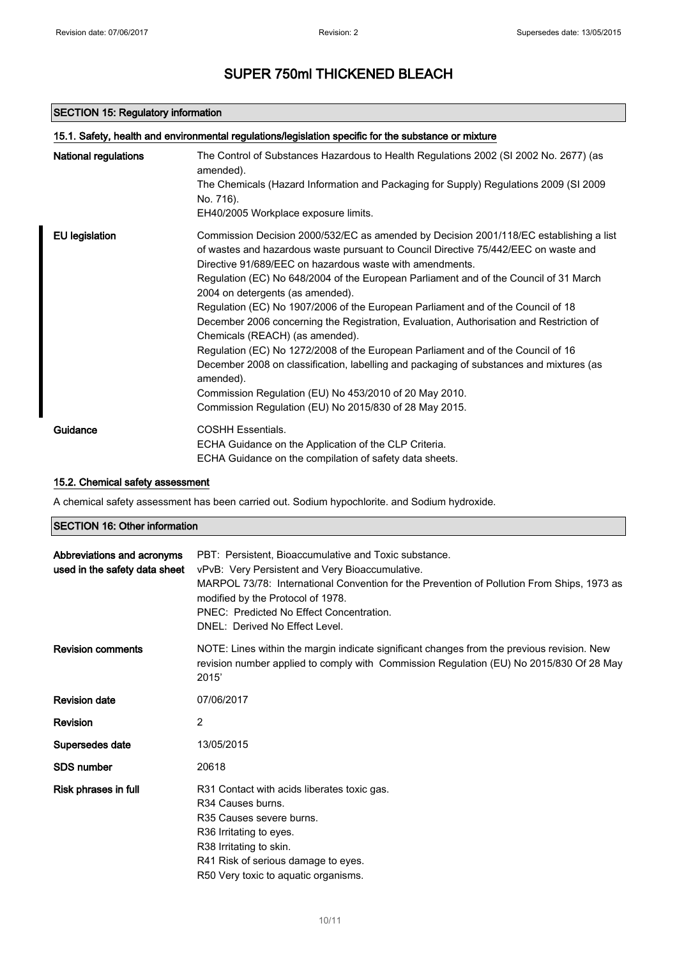### SECTION 15: Regulatory information

| National regulations  | The Control of Substances Hazardous to Health Regulations 2002 (SI 2002 No. 2677) (as<br>amended).                                                                                                                                        |
|-----------------------|-------------------------------------------------------------------------------------------------------------------------------------------------------------------------------------------------------------------------------------------|
|                       | The Chemicals (Hazard Information and Packaging for Supply) Regulations 2009 (SI 2009<br>No. 716).                                                                                                                                        |
|                       | EH40/2005 Workplace exposure limits.                                                                                                                                                                                                      |
| <b>EU</b> legislation | Commission Decision 2000/532/EC as amended by Decision 2001/118/EC establishing a list<br>of wastes and hazardous waste pursuant to Council Directive 75/442/EEC on waste and<br>Directive 91/689/EEC on hazardous waste with amendments. |
|                       | Regulation (EC) No 648/2004 of the European Parliament and of the Council of 31 March<br>2004 on detergents (as amended).                                                                                                                 |
|                       | Regulation (EC) No 1907/2006 of the European Parliament and of the Council of 18<br>December 2006 concerning the Registration, Evaluation, Authorisation and Restriction of<br>Chemicals (REACH) (as amended).                            |
|                       | Regulation (EC) No 1272/2008 of the European Parliament and of the Council of 16<br>December 2008 on classification, labelling and packaging of substances and mixtures (as<br>amended).                                                  |
|                       | Commission Regulation (EU) No 453/2010 of 20 May 2010.                                                                                                                                                                                    |
|                       | Commission Regulation (EU) No 2015/830 of 28 May 2015.                                                                                                                                                                                    |
| Guidance              | <b>COSHH Essentials.</b>                                                                                                                                                                                                                  |
|                       | ECHA Guidance on the Application of the CLP Criteria.                                                                                                                                                                                     |
|                       | ECHA Guidance on the compilation of safety data sheets.                                                                                                                                                                                   |

### 15.2. Chemical safety assessment

A chemical safety assessment has been carried out. Sodium hypochlorite. and Sodium hydroxide.

### SECTION 16: Other information

| Abbreviations and acronyms<br>used in the safety data sheet | PBT: Persistent. Bioaccumulative and Toxic substance.<br>vPvB: Very Persistent and Very Bioaccumulative.<br>MARPOL 73/78: International Convention for the Prevention of Pollution From Ships, 1973 as<br>modified by the Protocol of 1978.<br>PNEC: Predicted No Effect Concentration.<br>DNEL: Derived No Effect Level. |
|-------------------------------------------------------------|---------------------------------------------------------------------------------------------------------------------------------------------------------------------------------------------------------------------------------------------------------------------------------------------------------------------------|
| <b>Revision comments</b>                                    | NOTE: Lines within the margin indicate significant changes from the previous revision. New<br>revision number applied to comply with Commission Regulation (EU) No 2015/830 Of 28 May<br>2015'                                                                                                                            |
| <b>Revision date</b>                                        | 07/06/2017                                                                                                                                                                                                                                                                                                                |
| <b>Revision</b>                                             | 2                                                                                                                                                                                                                                                                                                                         |
| Supersedes date                                             | 13/05/2015                                                                                                                                                                                                                                                                                                                |
| <b>SDS number</b>                                           | 20618                                                                                                                                                                                                                                                                                                                     |
| Risk phrases in full                                        | R31 Contact with acids liberates toxic gas.<br>R <sub>34</sub> Causes burns.<br>R35 Causes severe burns.<br>R36 Irritating to eyes.<br>R38 Irritating to skin.<br>R41 Risk of serious damage to eyes.<br>R50 Very toxic to aquatic organisms.                                                                             |